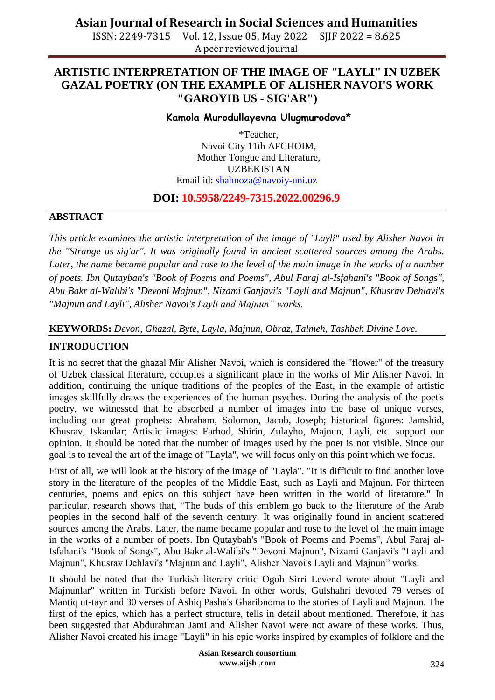ISSN: 2249-7315 Vol. 12, Issue 05, May 2022 SJIF 2022 = 8.625 A peer reviewed journal

# **ARTISTIC INTERPRETATION OF THE IMAGE OF "LAYLI" IN UZBEK GAZAL POETRY (ON THE EXAMPLE OF ALISHER NAVOI'S WORK "GAROYIB US - SIG'AR")**

### **Kamola Murodullayevna Ulugmurodova\***

\*Teacher, Navoi City 11th AFCHOIM, Mother Tongue and Literature, UZBEKISTAN Email id: [shahnoza@navoiy-uni.uz](mailto:shahnoza@navoiy-uni.uz)

## **DOI: 10.5958/2249-7315.2022.00296.9**

### **ABSTRACT**

*This article examines the artistic interpretation of the image of "Layli" used by Alisher Navoi in the "Strange us-sig'ar". It was originally found in ancient scattered sources among the Arabs.*  Later, the name became popular and rose to the level of the main image in the works of a number *of poets. Ibn Qutaybah's "Book of Poems and Poems", Abul Faraj al-Isfahani's "Book of Songs", Abu Bakr al-Walibi's "Devoni Majnun", Nizami Ganjavi's "Layli and Majnun", Khusrav Dehlavi's "Majnun and Layli", Alisher Navoi's Layli and Majnun" works.* 

**KEYWORDS:** *Devon, Ghazal, Byte, Layla, Majnun, Obraz, Talmeh, Tashbeh Divine Love.*

## **INTRODUCTION**

It is no secret that the ghazal Mir Alisher Navoi, which is considered the "flower" of the treasury of Uzbek classical literature, occupies a significant place in the works of Mir Alisher Navoi. In addition, continuing the unique traditions of the peoples of the East, in the example of artistic images skillfully draws the experiences of the human psyches. During the analysis of the poet's poetry, we witnessed that he absorbed a number of images into the base of unique verses, including our great prophets: Abraham, Solomon, Jacob, Joseph; historical figures: Jamshid, Khusrav, Iskandar; Artistic images: Farhod, Shirin, Zulayho, Majnun, Layli, etc. support our opinion. It should be noted that the number of images used by the poet is not visible. Since our goal is to reveal the art of the image of "Layla", we will focus only on this point which we focus.

First of all, we will look at the history of the image of "Layla". "It is difficult to find another love story in the literature of the peoples of the Middle East, such as Layli and Majnun. For thirteen centuries, poems and epics on this subject have been written in the world of literature." In particular, research shows that, "The buds of this emblem go back to the literature of the Arab peoples in the second half of the seventh century. It was originally found in ancient scattered sources among the Arabs. Later, the name became popular and rose to the level of the main image in the works of a number of poets. Ibn Qutaybah's "Book of Poems and Poems", Abul Faraj al-Isfahani's "Book of Songs", Abu Bakr al-Walibi's "Devoni Majnun", Nizami Ganjavi's "Layli and Majnun", Khusrav Dehlavi's "Majnun and Layli", Alisher Navoi's Layli and Majnun" works.

It should be noted that the Turkish literary critic Ogoh Sirri Levend wrote about "Layli and Majnunlar" written in Turkish before Navoi. In other words, Gulshahri devoted 79 verses of Mantiq ut-tayr and 30 verses of Ashiq Pasha's Gharibnoma to the stories of Layli and Majnun. The first of the epics, which has a perfect structure, tells in detail about mentioned. Therefore, it has been suggested that Abdurahman Jami and Alisher Navoi were not aware of these works. Thus, Alisher Navoi created his image "Layli" in his epic works inspired by examples of folklore and the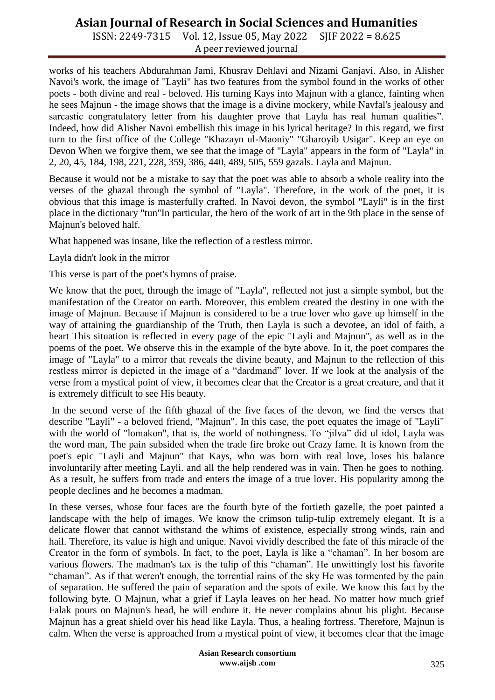# **Asian Journal of Research in Social Sciences and Humanities**

ISSN: 2249-7315 Vol. 12, Issue 05, May 2022 SJIF 2022 = 8.625 A peer reviewed journal

works of his teachers Abdurahman Jami, Khusrav Dehlavi and Nizami Ganjavi. Also, in Alisher Navoi's work, the image of "Layli" has two features from the symbol found in the works of other poets - both divine and real - beloved. His turning Kays into Majnun with a glance, fainting when he sees Majnun - the image shows that the image is a divine mockery, while Navfal's jealousy and sarcastic congratulatory letter from his daughter prove that Layla has real human qualities". Indeed, how did Alisher Navoi embellish this image in his lyrical heritage? In this regard, we first turn to the first office of the College "Khazayn ul-Maoniy" "Gharoyib Usigar". Keep an eye on Devon When we forgive them, we see that the image of "Layla" appears in the form of "Layla" in 2, 20, 45, 184, 198, 221, 228, 359, 386, 440, 489, 505, 559 gazals. Layla and Majnun.

Because it would not be a mistake to say that the poet was able to absorb a whole reality into the verses of the ghazal through the symbol of "Layla". Therefore, in the work of the poet, it is obvious that this image is masterfully crafted. In Navoi devon, the symbol "Layli" is in the first place in the dictionary "tun"In particular, the hero of the work of art in the 9th place in the sense of Majnun's beloved half.

What happened was insane, like the reflection of a restless mirror.

Layla didn't look in the mirror

This verse is part of the poet's hymns of praise.

We know that the poet, through the image of "Layla", reflected not just a simple symbol, but the manifestation of the Creator on earth. Moreover, this emblem created the destiny in one with the image of Majnun. Because if Majnun is considered to be a true lover who gave up himself in the way of attaining the guardianship of the Truth, then Layla is such a devotee, an idol of faith, a heart This situation is reflected in every page of the epic "Layli and Majnun", as well as in the poems of the poet. We observe this in the example of the byte above. In it, the poet compares the image of "Layla" to a mirror that reveals the divine beauty, and Majnun to the reflection of this restless mirror is depicted in the image of a "dardmand" lover. If we look at the analysis of the verse from a mystical point of view, it becomes clear that the Creator is a great creature, and that it is extremely difficult to see His beauty.

In the second verse of the fifth ghazal of the five faces of the devon, we find the verses that describe "Layli" - a beloved friend, "Majnun". In this case, the poet equates the image of "Layli" with the world of "lomakon", that is, the world of nothingness. To "jilva" did ul idol, Layla was the word man, The pain subsided when the trade fire broke out Crazy fame. It is known from the poet's epic "Layli and Majnun" that Kays, who was born with real love, loses his balance involuntarily after meeting Layli. and all the help rendered was in vain. Then he goes to nothing. As a result, he suffers from trade and enters the image of a true lover. His popularity among the people declines and he becomes a madman.

In these verses, whose four faces are the fourth byte of the fortieth gazelle, the poet painted a landscape with the help of images. We know the crimson tulip-tulip extremely elegant. It is a delicate flower that cannot withstand the whims of existence, especially strong winds, rain and hail. Therefore, its value is high and unique. Navoi vividly described the fate of this miracle of the Creator in the form of symbols. In fact, to the poet, Layla is like a "chaman". In her bosom are various flowers. The madman's tax is the tulip of this "chaman". He unwittingly lost his favorite "chaman". As if that weren't enough, the torrential rains of the sky He was tormented by the pain of separation. He suffered the pain of separation and the spots of exile. We know this fact by the following byte. O Majnun, what a grief if Layla leaves on her head. No matter how much grief Falak pours on Majnun's head, he will endure it. He never complains about his plight. Because Majnun has a great shield over his head like Layla. Thus, a healing fortress. Therefore, Majnun is calm. When the verse is approached from a mystical point of view, it becomes clear that the image